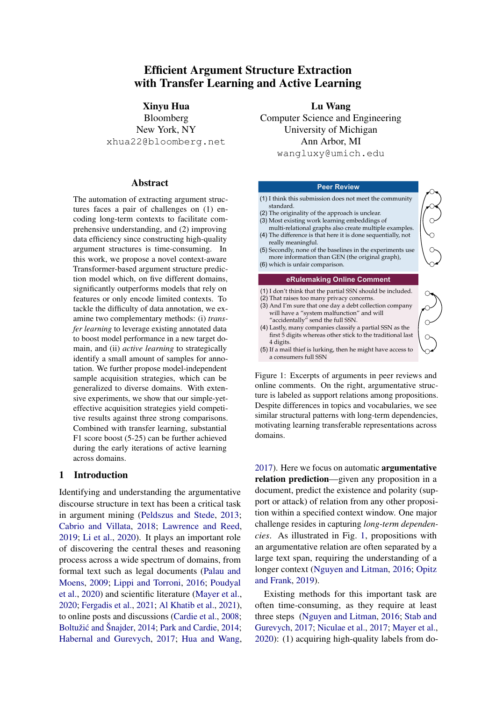# Efficient Argument Structure Extraction with Transfer Learning and Active Learning

Xinyu Hua Bloomberg New York, NY xhua22@bloomberg.net

#### **Abstract**

The automation of extracting argument structures faces a pair of challenges on (1) encoding long-term contexts to facilitate comprehensive understanding, and (2) improving data efficiency since constructing high-quality argument structures is time-consuming. In this work, we propose a novel context-aware Transformer-based argument structure prediction model which, on five different domains, significantly outperforms models that rely on features or only encode limited contexts. To tackle the difficulty of data annotation, we examine two complementary methods: (i) *transfer learning* to leverage existing annotated data to boost model performance in a new target domain, and (ii) *active learning* to strategically identify a small amount of samples for annotation. We further propose model-independent sample acquisition strategies, which can be generalized to diverse domains. With extensive experiments, we show that our simple-yeteffective acquisition strategies yield competitive results against three strong comparisons. Combined with transfer learning, substantial F1 score boost (5-25) can be further achieved during the early iterations of active learning across domains.

### 1 Introduction

Identifying and understanding the argumentative discourse structure in text has been a critical task in argument mining [\(Peldszus and Stede,](#page-11-0) [2013;](#page-11-0) [Cabrio and Villata,](#page-9-0) [2018;](#page-9-0) [Lawrence and Reed,](#page-10-0) [2019;](#page-10-0) [Li et al.,](#page-10-1) [2020\)](#page-10-1). It plays an important role of discovering the central theses and reasoning process across a wide spectrum of domains, from formal text such as legal documents [\(Palau and](#page-10-2) [Moens,](#page-10-2) [2009;](#page-10-2) [Lippi and Torroni,](#page-10-3) [2016;](#page-10-3) [Poudyal](#page-11-1) [et al.,](#page-11-1) [2020\)](#page-11-1) and scientific literature [\(Mayer et al.,](#page-10-4) [2020;](#page-10-4) [Fergadis et al.,](#page-9-1) [2021;](#page-9-1) [Al Khatib et al.,](#page-9-2) [2021\)](#page-9-2), to online posts and discussions [\(Cardie et al.,](#page-9-3) [2008;](#page-9-3) Boltužić and Šnajder, [2014;](#page-11-2) [Park and Cardie,](#page-11-2) 2014; [Habernal and Gurevych,](#page-9-5) [2017;](#page-9-5) [Hua and Wang,](#page-10-5)

Lu Wang Computer Science and Engineering University of Michigan Ann Arbor, MI wangluxy@umich.edu

#### **Peer Review**

<span id="page-0-0"></span>

| (1) I think this submission does not meet the community<br>standard.<br>(2) The originality of the approach is unclear.<br>(3) Most existing work learning embeddings of<br>multi-relational graphs also create multiple examples.<br>(4) The difference is that here it is done sequentially, not<br>really meaningful.<br>(5) Secondly, none of the baselines in the experiments use<br>more information than GEN (the original graph),<br>(6) which is unfair comparison. |  |
|------------------------------------------------------------------------------------------------------------------------------------------------------------------------------------------------------------------------------------------------------------------------------------------------------------------------------------------------------------------------------------------------------------------------------------------------------------------------------|--|
| eRulemaking Online Comment                                                                                                                                                                                                                                                                                                                                                                                                                                                   |  |
| (1) I don't think that the partial SSN should be included.<br>(2) That raises too many privacy concerns.<br>(3) And I'm sure that one day a debt collection company<br>will have a "system malfunction" and will<br>"accidentally" send the full SSN.<br>(4) Lastly, many companies classify a partial SSN as the<br>first 5 digits whereas other stick to the traditional last<br>4 digits.<br>(5) If a mail thief is lurking, then he might have access to                 |  |

Figure 1: Excerpts of arguments in peer reviews and online comments. On the right, argumentative structure is labeled as support relations among propositions. Despite differences in topics and vocabularies, we see similar structural patterns with long-term dependencies, motivating learning transferable representations across domains.

[2017\)](#page-10-5). Here we focus on automatic argumentative relation prediction—given any proposition in a document, predict the existence and polarity (support or attack) of relation from any other proposition within a specified context window. One major challenge resides in capturing *long-term dependencies*. As illustrated in Fig. [1,](#page-0-0) propositions with an argumentative relation are often separated by a large text span, requiring the understanding of a longer context [\(Nguyen and Litman,](#page-10-6) [2016;](#page-10-6) [Opitz](#page-10-7) [and Frank,](#page-10-7) [2019\)](#page-10-7).

Existing methods for this important task are often time-consuming, as they require at least three steps [\(Nguyen and Litman,](#page-10-6) [2016;](#page-10-6) [Stab and](#page-11-3) [Gurevych,](#page-11-3) [2017;](#page-11-3) [Niculae et al.,](#page-10-8) [2017;](#page-10-8) [Mayer et al.,](#page-10-4) [2020\)](#page-10-4): (1) acquiring high-quality labels from do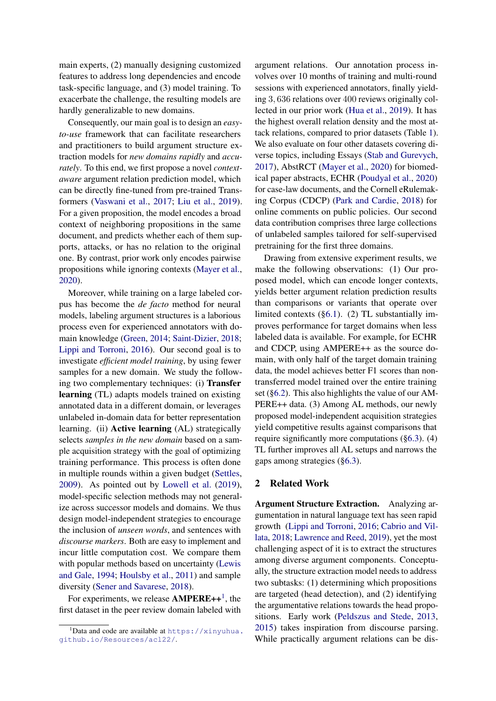main experts, (2) manually designing customized features to address long dependencies and encode task-specific language, and (3) model training. To exacerbate the challenge, the resulting models are hardly generalizable to new domains.

Consequently, our main goal is to design an *easyto-use* framework that can facilitate researchers and practitioners to build argument structure extraction models for *new domains rapidly* and *accurately*. To this end, we first propose a novel *contextaware* argument relation prediction model, which can be directly fine-tuned from pre-trained Transformers [\(Vaswani et al.,](#page-11-4) [2017;](#page-11-4) [Liu et al.,](#page-10-9) [2019\)](#page-10-9). For a given proposition, the model encodes a broad context of neighboring propositions in the same document, and predicts whether each of them supports, attacks, or has no relation to the original one. By contrast, prior work only encodes pairwise propositions while ignoring contexts [\(Mayer et al.,](#page-10-4) [2020\)](#page-10-4).

Moreover, while training on a large labeled corpus has become the *de facto* method for neural models, labeling argument structures is a laborious process even for experienced annotators with domain knowledge [\(Green,](#page-9-6) [2014;](#page-9-6) [Saint-Dizier,](#page-11-5) [2018;](#page-11-5) [Lippi and Torroni,](#page-10-3) [2016\)](#page-10-3). Our second goal is to investigate *efficient model training*, by using fewer samples for a new domain. We study the following two complementary techniques: (i) Transfer learning (TL) adapts models trained on existing annotated data in a different domain, or leverages unlabeled in-domain data for better representation learning. (ii) **Active learning** (AL) strategically selects *samples in the new domain* based on a sample acquisition strategy with the goal of optimizing training performance. This process is often done in multiple rounds within a given budget [\(Settles,](#page-11-6) [2009\)](#page-11-6). As pointed out by [Lowell et al.](#page-10-10) [\(2019\)](#page-10-10), model-specific selection methods may not generalize across successor models and domains. We thus design model-independent strategies to encourage the inclusion of *unseen words*, and sentences with *discourse markers*. Both are easy to implement and incur little computation cost. We compare them with popular methods based on uncertainty [\(Lewis](#page-10-11) [and Gale,](#page-10-11) [1994;](#page-10-11) [Houlsby et al.,](#page-9-7) [2011\)](#page-9-7) and sample diversity [\(Sener and Savarese,](#page-11-7) [2018\)](#page-11-7).

For experiments, we release  $AMPERE++^1$  $AMPERE++^1$ , the first dataset in the peer review domain labeled with argument relations. Our annotation process involves over 10 months of training and multi-round sessions with experienced annotators, finally yielding 3, 636 relations over 400 reviews originally collected in our prior work [\(Hua et al.,](#page-10-12) [2019\)](#page-10-12). It has the highest overall relation density and the most attack relations, compared to prior datasets (Table [1\)](#page-4-0). We also evaluate on four other datasets covering diverse topics, including Essays [\(Stab and Gurevych,](#page-11-3) [2017\)](#page-11-3), AbstRCT [\(Mayer et al.,](#page-10-4) [2020\)](#page-10-4) for biomedical paper abstracts, ECHR [\(Poudyal et al.,](#page-11-1) [2020\)](#page-11-1) for case-law documents, and the Cornell eRulemaking Corpus (CDCP) [\(Park and Cardie,](#page-11-8) [2018\)](#page-11-8) for online comments on public policies. Our second data contribution comprises three large collections of unlabeled samples tailored for self-supervised pretraining for the first three domains.

Drawing from extensive experiment results, we make the following observations: (1) Our proposed model, which can encode longer contexts, yields better argument relation prediction results than comparisons or variants that operate over limited contexts ([§6.1\)](#page-6-0). (2) TL substantially improves performance for target domains when less labeled data is available. For example, for ECHR and CDCP, using AMPERE++ as the source domain, with only half of the target domain training data, the model achieves better F1 scores than nontransferred model trained over the entire training set ([§6.2\)](#page-6-1). This also highlights the value of our AM-PERE++ data. (3) Among AL methods, our newly proposed model-independent acquisition strategies yield competitive results against comparisons that require significantly more computations ([§6.3\)](#page-7-0). (4) TL further improves all AL setups and narrows the gaps among strategies ([§6.3\)](#page-7-0).

### 2 Related Work

Argument Structure Extraction. Analyzing argumentation in natural language text has seen rapid growth [\(Lippi and Torroni,](#page-10-3) [2016;](#page-10-3) [Cabrio and Vil](#page-9-0)[lata,](#page-9-0) [2018;](#page-9-0) [Lawrence and Reed,](#page-10-0) [2019\)](#page-10-0), yet the most challenging aspect of it is to extract the structures among diverse argument components. Conceptually, the structure extraction model needs to address two subtasks: (1) determining which propositions are targeted (head detection), and (2) identifying the argumentative relations towards the head propositions. Early work [\(Peldszus and Stede,](#page-11-0) [2013,](#page-11-0) [2015\)](#page-11-9) takes inspiration from discourse parsing. While practically argument relations can be dis-

<span id="page-1-0"></span> $1$ Data and code are available at [https://xinyuhua.](https://xinyuhua.github.io/Resources/acl22/) [github.io/Resources/acl22/](https://xinyuhua.github.io/Resources/acl22/).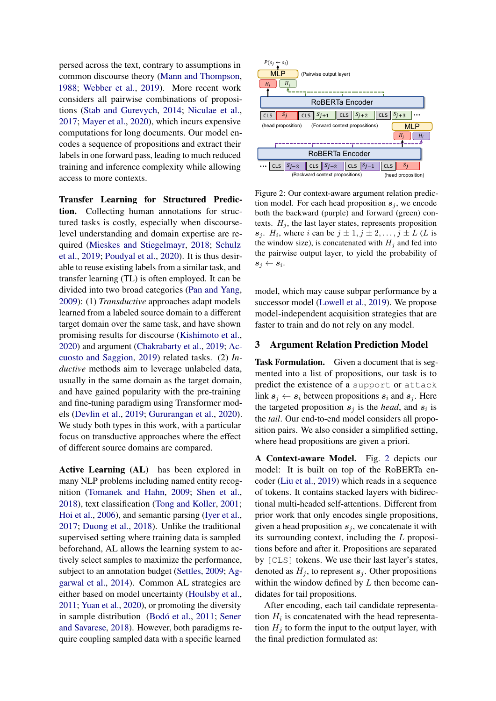persed across the text, contrary to assumptions in common discourse theory [\(Mann and Thompson,](#page-10-13) [1988;](#page-10-13) [Webber et al.,](#page-11-10) [2019\)](#page-11-10). More recent work considers all pairwise combinations of propositions [\(Stab and Gurevych,](#page-11-11) [2014;](#page-11-11) [Niculae et al.,](#page-10-8) [2017;](#page-10-8) [Mayer et al.,](#page-10-4) [2020\)](#page-10-4), which incurs expensive computations for long documents. Our model encodes a sequence of propositions and extract their labels in one forward pass, leading to much reduced training and inference complexity while allowing access to more contexts.

Transfer Learning for Structured Prediction. Collecting human annotations for structured tasks is costly, especially when discourselevel understanding and domain expertise are required [\(Mieskes and Stiegelmayr,](#page-10-14) [2018;](#page-10-14) [Schulz](#page-11-12) [et al.,](#page-11-12) [2019;](#page-11-12) [Poudyal et al.,](#page-11-1) [2020\)](#page-11-1). It is thus desirable to reuse existing labels from a similar task, and transfer learning (TL) is often employed. It can be divided into two broad categories [\(Pan and Yang,](#page-10-15) [2009\)](#page-10-15): (1) *Transductive* approaches adapt models learned from a labeled source domain to a different target domain over the same task, and have shown promising results for discourse [\(Kishimoto et al.,](#page-10-16) [2020\)](#page-10-16) and argument [\(Chakrabarty et al.,](#page-9-8) [2019;](#page-9-8) [Ac](#page-9-9)[cuosto and Saggion,](#page-9-9) [2019\)](#page-9-9) related tasks. (2) *Inductive* methods aim to leverage unlabeled data, usually in the same domain as the target domain, and have gained popularity with the pre-training and fine-tuning paradigm using Transformer models [\(Devlin et al.,](#page-9-10) [2019;](#page-9-10) [Gururangan et al.,](#page-9-11) [2020\)](#page-9-11). We study both types in this work, with a particular focus on transductive approaches where the effect of different source domains are compared.

Active Learning (AL) has been explored in many NLP problems including named entity recognition [\(Tomanek and Hahn,](#page-11-13) [2009;](#page-11-13) [Shen et al.,](#page-11-14) [2018\)](#page-11-14), text classification [\(Tong and Koller,](#page-11-15) [2001;](#page-11-15) [Hoi et al.,](#page-9-12) [2006\)](#page-9-12), and semantic parsing [\(Iyer et al.,](#page-10-17) [2017;](#page-10-17) [Duong et al.,](#page-9-13) [2018\)](#page-9-13). Unlike the traditional supervised setting where training data is sampled beforehand, AL allows the learning system to actively select samples to maximize the performance, subject to an annotation budget [\(Settles,](#page-11-6) [2009;](#page-11-6) [Ag](#page-9-14)[garwal et al.,](#page-9-14) [2014\)](#page-9-14). Common AL strategies are either based on model uncertainty [\(Houlsby et al.,](#page-9-7) [2011;](#page-9-7) [Yuan et al.,](#page-11-16) [2020\)](#page-11-16), or promoting the diversity in sample distribution [\(Bodó et al.,](#page-9-15) [2011;](#page-9-15) [Sener](#page-11-7) [and Savarese,](#page-11-7) [2018\)](#page-11-7). However, both paradigms require coupling sampled data with a specific learned

<span id="page-2-0"></span>

Figure 2: Our context-aware argument relation prediction model. For each head proposition  $s_j$ , we encode both the backward (purple) and forward (green) contexts.  $H_i$ , the last layer states, represents proposition  $s_j$ .  $H_i$ , where i can be  $j \pm 1, j \pm 2, \ldots, j \pm L$  (L is the window size), is concatenated with  $H_j$  and fed into the pairwise output layer, to yield the probability of  $s_j \leftarrow s_i$ .

model, which may cause subpar performance by a successor model [\(Lowell et al.,](#page-10-10) [2019\)](#page-10-10). We propose model-independent acquisition strategies that are faster to train and do not rely on any model.

# 3 Argument Relation Prediction Model

Task Formulation. Given a document that is segmented into a list of propositions, our task is to predict the existence of a support or attack link  $s_i \leftarrow s_i$  between propositions  $s_i$  and  $s_j$ . Here the targeted proposition  $s_j$  is the *head*, and  $s_i$  is the *tail*. Our end-to-end model considers all proposition pairs. We also consider a simplified setting, where head propositions are given a priori.

A Context-aware Model. Fig. [2](#page-2-0) depicts our model: It is built on top of the RoBERTa encoder [\(Liu et al.,](#page-10-9) [2019\)](#page-10-9) which reads in a sequence of tokens. It contains stacked layers with bidirectional multi-headed self-attentions. Different from prior work that only encodes single propositions, given a head proposition  $s_j$ , we concatenate it with its surrounding context, including the L propositions before and after it. Propositions are separated by [CLS] tokens. We use their last layer's states, denoted as  $H_i$ , to represent  $s_i$ . Other propositions within the window defined by  $L$  then become candidates for tail propositions.

After encoding, each tail candidate representation  $H_i$  is concatenated with the head representation  $H_i$  to form the input to the output layer, with the final prediction formulated as: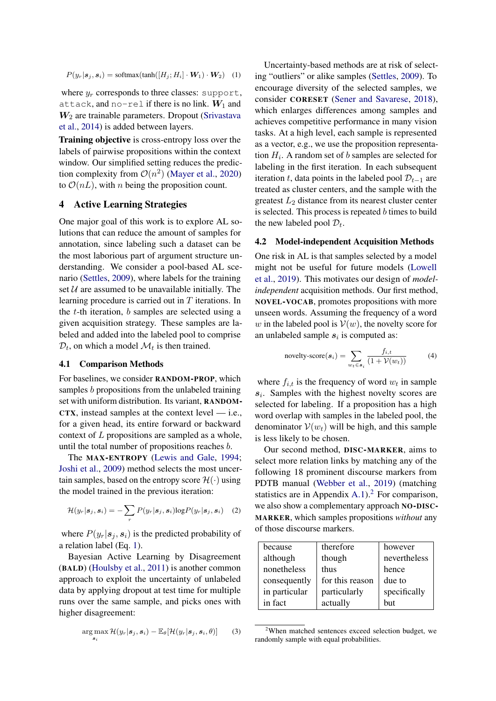$P(y_r|\mathbf{s}_j, \mathbf{s}_i) = \text{softmax}(\text{tanh}([H_j; H_i] \cdot \mathbf{W}_1) \cdot \mathbf{W}_2)$  (1)

where  $y_r$  corresponds to three classes: support, attack, and no-rel if there is no link.  $W_1$  and  $W<sub>2</sub>$  are trainable parameters. Dropout [\(Srivastava](#page-11-17) [et al.,](#page-11-17) [2014\)](#page-11-17) is added between layers.

Training objective is cross-entropy loss over the labels of pairwise propositions within the context window. Our simplified setting reduces the prediction complexity from  $\mathcal{O}(n^2)$  [\(Mayer et al.,](#page-10-4) [2020\)](#page-10-4) to  $\mathcal{O}(nL)$ , with *n* being the proposition count.

# <span id="page-3-2"></span>4 Active Learning Strategies

One major goal of this work is to explore AL solutions that can reduce the amount of samples for annotation, since labeling such a dataset can be the most laborious part of argument structure understanding. We consider a pool-based AL scenario [\(Settles,](#page-11-6) [2009\)](#page-11-6), where labels for the training set  $U$  are assumed to be unavailable initially. The learning procedure is carried out in T iterations. In the  $t$ -th iteration,  $b$  samples are selected using a given acquisition strategy. These samples are labeled and added into the labeled pool to comprise  $\mathcal{D}_t$ , on which a model  $\mathcal{M}_t$  is then trained.

#### 4.1 Comparison Methods

For baselines, we consider RANDOM-PROP, which samples b propositions from the unlabeled training set with uniform distribution. Its variant, RANDOM-CTX, instead samples at the context level — i.e., for a given head, its entire forward or backward context of L propositions are sampled as a whole, until the total number of propositions reaches b.

The MAX-ENTROPY [\(Lewis and Gale,](#page-10-11) [1994;](#page-10-11) [Joshi et al.,](#page-10-18) [2009\)](#page-10-18) method selects the most uncertain samples, based on the entropy score  $\mathcal{H}(\cdot)$  using the model trained in the previous iteration:

$$
\mathcal{H}(y_r|\mathbf{s}_j,\mathbf{s}_i)=-\sum_r P(y_r|\mathbf{s}_j,\mathbf{s}_i)\log P(y_r|\mathbf{s}_j,\mathbf{s}_i) \quad (2)
$$

where  $P(y_r|\mathbf{s}_i, \mathbf{s}_i)$  is the predicted probability of a relation label (Eq. [1\)](#page-3-0).

Bayesian Active Learning by Disagreement (BALD) [\(Houlsby et al.,](#page-9-7) [2011\)](#page-9-7) is another common approach to exploit the uncertainty of unlabeled data by applying dropout at test time for multiple runs over the same sample, and picks ones with higher disagreement:

$$
\arg\max_{\mathbf{s}_i} \mathcal{H}(y_r|\mathbf{s}_j, \mathbf{s}_i) - \mathbb{E}_{\theta}[\mathcal{H}(y_r|\mathbf{s}_j, \mathbf{s}_i, \theta)] \qquad (3)
$$

<span id="page-3-0"></span>Uncertainty-based methods are at risk of selecting "outliers" or alike samples [\(Settles,](#page-11-6) [2009\)](#page-11-6). To encourage diversity of the selected samples, we consider CORESET [\(Sener and Savarese,](#page-11-7) [2018\)](#page-11-7), which enlarges differences among samples and achieves competitive performance in many vision tasks. At a high level, each sample is represented as a vector, e.g., we use the proposition representation  $H_i$ . A random set of b samples are selected for labeling in the first iteration. In each subsequent iteration t, data points in the labeled pool  $\mathcal{D}_{t-1}$  are treated as cluster centers, and the sample with the greatest  $L_2$  distance from its nearest cluster center is selected. This process is repeated  $b$  times to build the new labeled pool  $\mathcal{D}_t$ .

#### <span id="page-3-3"></span>4.2 Model-independent Acquisition Methods

One risk in AL is that samples selected by a model might not be useful for future models [\(Lowell](#page-10-10) [et al.,](#page-10-10) [2019\)](#page-10-10). This motivates our design of *modelindependent* acquisition methods. Our first method, NOVEL-VOCAB, promotes propositions with more unseen words. Assuming the frequency of a word w in the labeled pool is  $V(w)$ , the novelty score for an unlabeled sample  $s_i$  is computed as:

novelty-score(
$$
\mathbf{s}_i
$$
) = 
$$
\sum_{w_t \in \mathbf{s}_i} \frac{f_{i,t}}{(1 + \mathcal{V}(w_t))}
$$
(4)

where  $f_{i,t}$  is the frequency of word  $w_t$  in sample  $s_i$ . Samples with the highest novelty scores are selected for labeling. If a proposition has a high word overlap with samples in the labeled pool, the denominator  $V(w_t)$  will be high, and this sample is less likely to be chosen.

Our second method, DISC-MARKER, aims to select more relation links by matching any of the following 18 prominent discourse markers from PDTB manual [\(Webber et al.,](#page-11-10) [2019\)](#page-11-10) (matching statistics are in Appendix [A.1\)](#page-12-0).<sup>[2](#page-3-1)</sup> For comparison, we also show a complementary approach NO-DISC-MARKER, which samples propositions *without* any of those discourse markers.

| because       | therefore       | however      |
|---------------|-----------------|--------------|
| although      | though          | nevertheless |
| nonetheless   | thus            | hence        |
| consequently  | for this reason | due to       |
| in particular | particularly    | specifically |
| in fact       | actually        | hut          |

<span id="page-3-1"></span> $2$ When matched sentences exceed selection budget, we randomly sample with equal probabilities.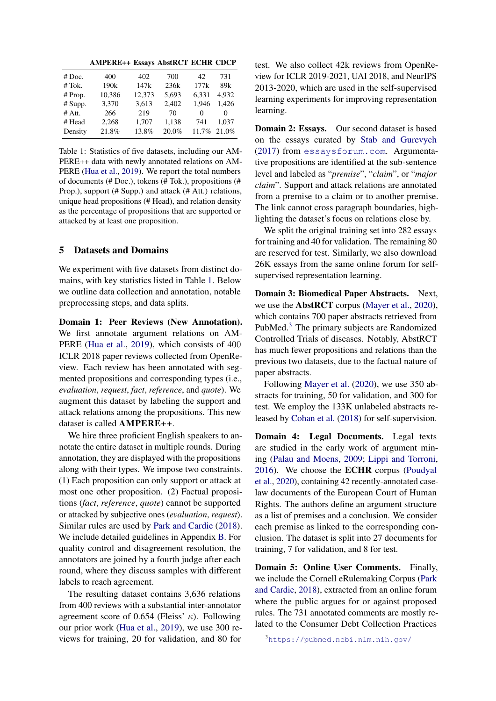AMPERE++ Essays AbstRCT ECHR CDCP

<span id="page-4-0"></span>

| # Doc.   | 400              | 402    | 700   | 42    | 731      |
|----------|------------------|--------|-------|-------|----------|
| # Tok.   | 190 <sub>k</sub> | 147k   | 236k  | 177k  | 89k      |
| # Prop.  | 10,386           | 12,373 | 5,693 | 6.331 | 4.932    |
| # Supp.  | 3,370            | 3,613  | 2,402 | 1.946 | 1.426    |
| $#$ Att. | 266              | 219    | 70    | 0     | $\theta$ |
| # Head   | 2.268            | 1,707  | 1,138 | 741   | 1.037    |
| Density  | 21.8%            | 13.8%  | 20.0% | 11.7% | 21.0%    |
|          |                  |        |       |       |          |

Table 1: Statistics of five datasets, including our AM-PERE++ data with newly annotated relations on AM-PERE [\(Hua et al.,](#page-10-12) [2019\)](#page-10-12). We report the total numbers of documents (# Doc.), tokens (# Tok.), propositions (# Prop.), support (# Supp.) and attack (# Att.) relations, unique head propositions (# Head), and relation density as the percentage of propositions that are supported or attacked by at least one proposition.

# <span id="page-4-2"></span>5 Datasets and Domains

We experiment with five datasets from distinct domains, with key statistics listed in Table [1.](#page-4-0) Below we outline data collection and annotation, notable preprocessing steps, and data splits.

Domain 1: Peer Reviews (New Annotation). We first annotate argument relations on AM-PERE [\(Hua et al.,](#page-10-12) [2019\)](#page-10-12), which consists of 400 ICLR 2018 paper reviews collected from OpenReview. Each review has been annotated with segmented propositions and corresponding types (i.e., *evaluation*, *request*, *fact*, *reference*, and *quote*). We augment this dataset by labeling the support and attack relations among the propositions. This new dataset is called AMPERE++.

We hire three proficient English speakers to annotate the entire dataset in multiple rounds. During annotation, they are displayed with the propositions along with their types. We impose two constraints. (1) Each proposition can only support or attack at most one other proposition. (2) Factual propositions (*fact*, *reference*, *quote*) cannot be supported or attacked by subjective ones (*evaluation*, *request*). Similar rules are used by [Park and Cardie](#page-11-8) [\(2018\)](#page-11-8). We include detailed guidelines in Appendix [B.](#page-12-1) For quality control and disagreement resolution, the annotators are joined by a fourth judge after each round, where they discuss samples with different labels to reach agreement.

The resulting dataset contains 3,636 relations from 400 reviews with a substantial inter-annotator agreement score of 0.654 (Fleiss'  $\kappa$ ). Following our prior work [\(Hua et al.,](#page-10-12) [2019\)](#page-10-12), we use 300 reviews for training, 20 for validation, and 80 for

test. We also collect 42k reviews from OpenReview for ICLR 2019-2021, UAI 2018, and NeurIPS 2013-2020, which are used in the self-supervised learning experiments for improving representation learning.

**Domain 2: Essays.** Our second dataset is based on the essays curated by [Stab and Gurevych](#page-11-3) [\(2017\)](#page-11-3) from <essaysforum.com>. Argumentative propositions are identified at the sub-sentence level and labeled as "*premise*", "*claim*", or "*major claim*". Support and attack relations are annotated from a premise to a claim or to another premise. The link cannot cross paragraph boundaries, highlighting the dataset's focus on relations close by.

We split the original training set into 282 essays for training and 40 for validation. The remaining 80 are reserved for test. Similarly, we also download 26K essays from the same online forum for selfsupervised representation learning.

Domain 3: Biomedical Paper Abstracts. Next, we use the AbstRCT corpus [\(Mayer et al.,](#page-10-4) [2020\)](#page-10-4), which contains 700 paper abstracts retrieved from PubMed.[3](#page-4-1) The primary subjects are Randomized Controlled Trials of diseases. Notably, AbstRCT has much fewer propositions and relations than the previous two datasets, due to the factual nature of paper abstracts.

Following [Mayer et al.](#page-10-4) [\(2020\)](#page-10-4), we use 350 abstracts for training, 50 for validation, and 300 for test. We employ the 133K unlabeled abstracts released by [Cohan et al.](#page-9-16) [\(2018\)](#page-9-16) for self-supervision.

Domain 4: Legal Documents. Legal texts are studied in the early work of argument mining [\(Palau and Moens,](#page-10-2) [2009;](#page-10-2) [Lippi and Torroni,](#page-10-3) [2016\)](#page-10-3). We choose the ECHR corpus [\(Poudyal](#page-11-1) [et al.,](#page-11-1) [2020\)](#page-11-1), containing 42 recently-annotated caselaw documents of the European Court of Human Rights. The authors define an argument structure as a list of premises and a conclusion. We consider each premise as linked to the corresponding conclusion. The dataset is split into 27 documents for training, 7 for validation, and 8 for test.

Domain 5: Online User Comments. Finally, we include the Cornell eRulemaking Corpus [\(Park](#page-11-8) [and Cardie,](#page-11-8) [2018\)](#page-11-8), extracted from an online forum where the public argues for or against proposed rules. The 731 annotated comments are mostly related to the Consumer Debt Collection Practices

<span id="page-4-1"></span><sup>3</sup><https://pubmed.ncbi.nlm.nih.gov/>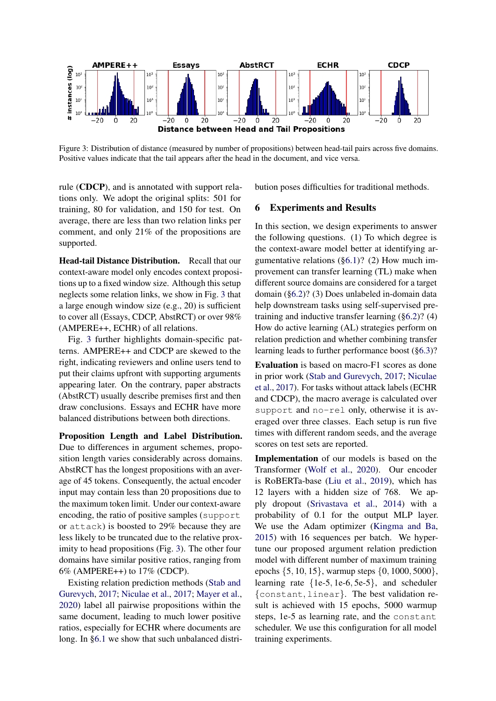<span id="page-5-0"></span>

Figure 3: Distribution of distance (measured by number of propositions) between head-tail pairs across five domains. Positive values indicate that the tail appears after the head in the document, and vice versa.

rule (CDCP), and is annotated with support relations only. We adopt the original splits: 501 for training, 80 for validation, and 150 for test. On average, there are less than two relation links per comment, and only 21% of the propositions are supported.

Head-tail Distance Distribution. Recall that our context-aware model only encodes context propositions up to a fixed window size. Although this setup neglects some relation links, we show in Fig. [3](#page-5-0) that a large enough window size (e.g., 20) is sufficient to cover all (Essays, CDCP, AbstRCT) or over 98% (AMPERE++, ECHR) of all relations.

Fig. [3](#page-5-0) further highlights domain-specific patterns. AMPERE++ and CDCP are skewed to the right, indicating reviewers and online users tend to put their claims upfront with supporting arguments appearing later. On the contrary, paper abstracts (AbstRCT) usually describe premises first and then draw conclusions. Essays and ECHR have more balanced distributions between both directions.

Proposition Length and Label Distribution. Due to differences in argument schemes, proposition length varies considerably across domains. AbstRCT has the longest propositions with an average of 45 tokens. Consequently, the actual encoder input may contain less than 20 propositions due to the maximum token limit. Under our context-aware encoding, the ratio of positive samples (support or attack) is boosted to 29% because they are less likely to be truncated due to the relative proximity to head propositions (Fig. [3\)](#page-5-0). The other four domains have similar positive ratios, ranging from 6% (AMPERE++) to 17% (CDCP).

Existing relation prediction methods [\(Stab and](#page-11-3) [Gurevych,](#page-11-3) [2017;](#page-11-3) [Niculae et al.,](#page-10-8) [2017;](#page-10-8) [Mayer et al.,](#page-10-4) [2020\)](#page-10-4) label all pairwise propositions within the same document, leading to much lower positive ratios, especially for ECHR where documents are long. In [§6.1](#page-6-0) we show that such unbalanced distribution poses difficulties for traditional methods.

#### 6 Experiments and Results

In this section, we design experiments to answer the following questions. (1) To which degree is the context-aware model better at identifying argumentative relations ([§6.1\)](#page-6-0)? (2) How much improvement can transfer learning (TL) make when different source domains are considered for a target domain ([§6.2\)](#page-6-1)? (3) Does unlabeled in-domain data help downstream tasks using self-supervised pretraining and inductive transfer learning ([§6.2\)](#page-6-1)? (4) How do active learning (AL) strategies perform on relation prediction and whether combining transfer learning leads to further performance boost ([§6.3\)](#page-7-0)?

Evaluation is based on macro-F1 scores as done in prior work [\(Stab and Gurevych,](#page-11-3) [2017;](#page-11-3) [Niculae](#page-10-8) [et al.,](#page-10-8) [2017\)](#page-10-8). For tasks without attack labels (ECHR and CDCP), the macro average is calculated over support and no-rel only, otherwise it is averaged over three classes. Each setup is run five times with different random seeds, and the average scores on test sets are reported.

Implementation of our models is based on the Transformer [\(Wolf et al.,](#page-11-18) [2020\)](#page-11-18). Our encoder is RoBERTa-base [\(Liu et al.,](#page-10-9) [2019\)](#page-10-9), which has 12 layers with a hidden size of 768. We apply dropout [\(Srivastava et al.,](#page-11-17) [2014\)](#page-11-17) with a probability of 0.1 for the output MLP layer. We use the Adam optimizer [\(Kingma and Ba,](#page-10-19) [2015\)](#page-10-19) with 16 sequences per batch. We hypertune our proposed argument relation prediction model with different number of maximum training epochs {5, 10, 15}, warmup steps {0, 1000, 5000}, learning rate {1e-5, 1e-6, 5e-5}, and scheduler {constant, linear}. The best validation result is achieved with 15 epochs, 5000 warmup steps, 1e-5 as learning rate, and the constant scheduler. We use this configuration for all model training experiments.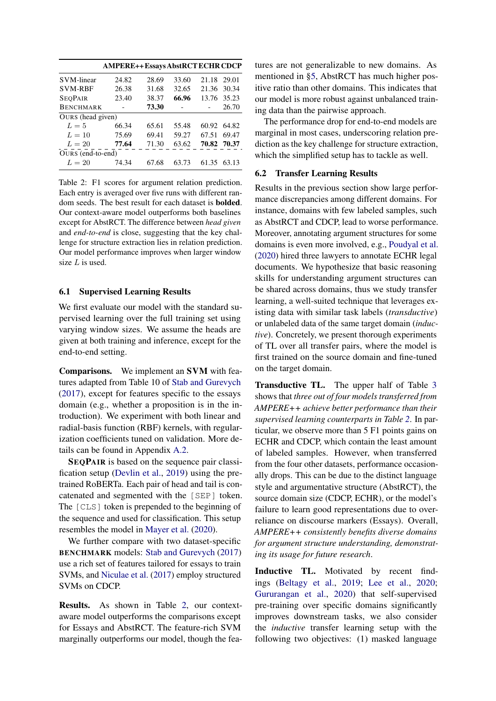<span id="page-6-2"></span>

|                   | <b>AMPERE++Essays AbstRCT ECHR CDCP</b> |       |       |             |             |
|-------------------|-----------------------------------------|-------|-------|-------------|-------------|
| <b>SVM-linear</b> | 24.82                                   | 28.69 | 33.60 | 21.18 29.01 |             |
| <b>SVM-RBF</b>    | 26.38                                   | 31.68 | 32.65 | 21.36       | 30.34       |
| <b>SEOPAIR</b>    | 23.40                                   | 38.37 | 66.96 | 13.76       | 35.23       |
| <b>BENCHMARK</b>  |                                         | 73.30 |       |             | 26.70       |
| OURS (head given) |                                         |       |       |             |             |
| $L=5$             | 66.34                                   | 65.61 | 55.48 | 60.92       | 64.82       |
| $L=10$            | 75.69                                   | 69.41 | 59.27 | 67.51       | 69.47       |
| $L=20$            | 77.64                                   | 71.30 | 63.62 |             | 70.82 70.37 |
| OURS (end-to-end) |                                         |       |       |             |             |
| $L=20$            | 74.34                                   | 67.68 | 63.73 | 61.35       | 63.13       |

Table 2: F1 scores for argument relation prediction. Each entry is averaged over five runs with different random seeds. The best result for each dataset is bolded. Our context-aware model outperforms both baselines except for AbstRCT. The difference between *head given* and *end-to-end* is close, suggesting that the key challenge for structure extraction lies in relation prediction. Our model performance improves when larger window size  $L$  is used.

#### <span id="page-6-0"></span>6.1 Supervised Learning Results

We first evaluate our model with the standard supervised learning over the full training set using varying window sizes. We assume the heads are given at both training and inference, except for the end-to-end setting.

Comparisons. We implement an SVM with features adapted from Table 10 of [Stab and Gurevych](#page-11-3) [\(2017\)](#page-11-3), except for features specific to the essays domain (e.g., whether a proposition is in the introduction). We experiment with both linear and radial-basis function (RBF) kernels, with regularization coefficients tuned on validation. More details can be found in Appendix [A.2.](#page-12-2)

SEQPAIR is based on the sequence pair classification setup [\(Devlin et al.,](#page-9-10) [2019\)](#page-9-10) using the pretrained RoBERTa. Each pair of head and tail is concatenated and segmented with the [SEP] token. The [CLS] token is prepended to the beginning of the sequence and used for classification. This setup resembles the model in [Mayer et al.](#page-10-4) [\(2020\)](#page-10-4).

We further compare with two dataset-specific BENCHMARK models: [Stab and Gurevych](#page-11-3) [\(2017\)](#page-11-3) use a rich set of features tailored for essays to train SVMs, and [Niculae et al.](#page-10-8) [\(2017\)](#page-10-8) employ structured SVMs on CDCP.

Results. As shown in Table [2,](#page-6-2) our contextaware model outperforms the comparisons except for Essays and AbstRCT. The feature-rich SVM marginally outperforms our model, though the features are not generalizable to new domains. As mentioned in [§5,](#page-4-2) AbstRCT has much higher positive ratio than other domains. This indicates that our model is more robust against unbalanced training data than the pairwise approach.

The performance drop for end-to-end models are marginal in most cases, underscoring relation prediction as the key challenge for structure extraction, which the simplified setup has to tackle as well.

#### <span id="page-6-1"></span>6.2 Transfer Learning Results

Results in the previous section show large performance discrepancies among different domains. For instance, domains with few labeled samples, such as AbstRCT and CDCP, lead to worse performance. Moreover, annotating argument structures for some domains is even more involved, e.g., [Poudyal et al.](#page-11-1) [\(2020\)](#page-11-1) hired three lawyers to annotate ECHR legal documents. We hypothesize that basic reasoning skills for understanding argument structures can be shared across domains, thus we study transfer learning, a well-suited technique that leverages existing data with similar task labels (*transductive*) or unlabeled data of the same target domain (*inductive*). Concretely, we present thorough experiments of TL over all transfer pairs, where the model is first trained on the source domain and fine-tuned on the target domain.

Transductive TL. The upper half of Table [3](#page-7-1) shows that *three out of four models transferred from AMPERE++ achieve better performance than their supervised learning counterparts in Table [2](#page-6-2)*. In particular, we observe more than 5 F1 points gains on ECHR and CDCP, which contain the least amount of labeled samples. However, when transferred from the four other datasets, performance occasionally drops. This can be due to the distinct language style and argumentative structure (AbstRCT), the source domain size (CDCP, ECHR), or the model's failure to learn good representations due to overreliance on discourse markers (Essays). Overall, *AMPERE++ consistently benefits diverse domains for argument structure understanding, demonstrating its usage for future research*.

Inductive TL. Motivated by recent findings [\(Beltagy et al.,](#page-9-17) [2019;](#page-9-17) [Lee et al.,](#page-10-20) [2020;](#page-10-20) [Gururangan et al.,](#page-9-11) [2020\)](#page-9-11) that self-supervised pre-training over specific domains significantly improves downstream tasks, we also consider the *inductive* transfer learning setup with the following two objectives: (1) masked language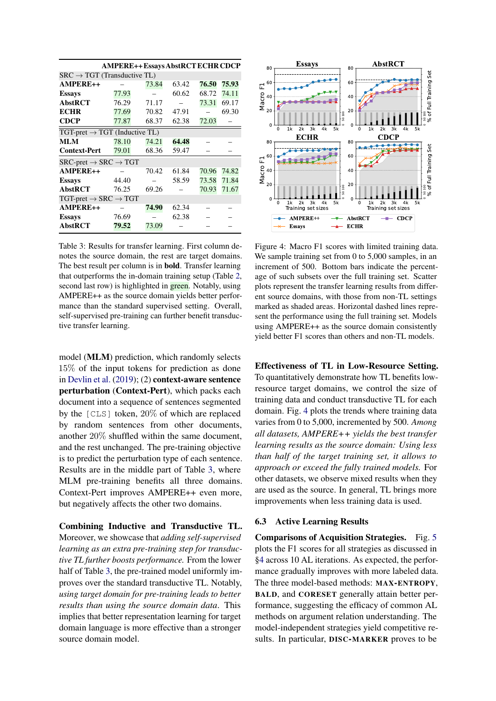<span id="page-7-1"></span>

|                                                          |       | <b>AMPERE++Essays AbstRCT ECHR CDCP</b> |       |       |       |
|----------------------------------------------------------|-------|-----------------------------------------|-------|-------|-------|
| $SRC \rightarrow TGT$ (Transductive TL)                  |       |                                         |       |       |       |
| <b>AMPERE++</b>                                          |       | 73.84                                   | 63.42 | 76.50 | 75.93 |
| <b>Essays</b>                                            | 77.93 |                                         | 60.62 | 68.72 | 74.11 |
| <b>AbstRCT</b>                                           | 76.29 | 71.17                                   |       | 73.31 | 69.17 |
| <b>ECHR</b>                                              | 77.69 | 70.82                                   | 47.91 |       | 69.30 |
| <b>CDCP</b>                                              | 77.87 | 68.37                                   | 62.38 | 72.03 |       |
| $TGT\text{-}pret \rightarrow TGT$ (Inductive TL)         |       |                                         |       |       |       |
| MLM                                                      | 78.10 | 74.21                                   | 64.48 |       |       |
| <b>Context-Pert</b>                                      | 79.01 | 68.36                                   | 59.47 |       |       |
| $SRC\text{-}pret \rightarrow SRC \rightarrow TGT$        |       |                                         |       |       |       |
| $AMPERE++$                                               |       | 70.42                                   | 61.84 | 70.96 | 74.82 |
| <b>Essays</b>                                            | 44.40 |                                         | 58.59 | 73.58 | 71.84 |
| <b>AbstRCT</b>                                           | 76.25 | 69.26                                   |       | 70.93 | 71.67 |
| $TGT\text{-}pret \rightarrow \text{SRC} \rightarrow TGT$ |       |                                         |       |       |       |
| AMPERE++                                                 |       | 74.90                                   | 62.34 |       |       |
| <b>Essays</b>                                            | 76.69 |                                         | 62.38 |       |       |
| <b>AbstRCT</b>                                           | 79.52 | 73.09                                   |       |       |       |

Table 3: Results for transfer learning. First column denotes the source domain, the rest are target domains. The best result per column is in bold. Transfer learning that outperforms the in-domain training setup (Table [2,](#page-6-2) second last row) is highlighted in **green**. Notably, using AMPERE++ as the source domain yields better performance than the standard supervised setting. Overall, self-supervised pre-training can further benefit transductive transfer learning.

model (MLM) prediction, which randomly selects 15% of the input tokens for prediction as done in [Devlin et al.](#page-9-10) [\(2019\)](#page-9-10); (2) context-aware sentence perturbation (Context-Pert), which packs each document into a sequence of sentences segmented by the [CLS] token, 20% of which are replaced by random sentences from other documents, another 20% shuffled within the same document, and the rest unchanged. The pre-training objective is to predict the perturbation type of each sentence. Results are in the middle part of Table [3,](#page-7-1) where MLM pre-training benefits all three domains. Context-Pert improves AMPERE++ even more, but negatively affects the other two domains.

Combining Inductive and Transductive TL. Moreover, we showcase that *adding self-supervised learning as an extra pre-training step for transductive TL further boosts performance.* From the lower half of Table [3,](#page-7-1) the pre-trained model uniformly improves over the standard transductive TL. Notably, *using target domain for pre-training leads to better results than using the source domain data*. This implies that better representation learning for target domain language is more effective than a stronger source domain model.

<span id="page-7-2"></span>

Figure 4: Macro F1 scores with limited training data. We sample training set from 0 to 5,000 samples, in an increment of 500. Bottom bars indicate the percentage of such subsets over the full training set. Scatter plots represent the transfer learning results from different source domains, with those from non-TL settings marked as shaded areas. Horizontal dashed lines represent the performance using the full training set. Models using AMPERE++ as the source domain consistently yield better F1 scores than others and non-TL models.

Effectiveness of TL in Low-Resource Setting. To quantitatively demonstrate how TL benefits lowresource target domains, we control the size of training data and conduct transductive TL for each domain. Fig. [4](#page-7-2) plots the trends where training data varies from 0 to 5,000, incremented by 500. *Among all datasets, AMPERE++ yields the best transfer learning results as the source domain: Using less than half of the target training set, it allows to approach or exceed the fully trained models.* For other datasets, we observe mixed results when they are used as the source. In general, TL brings more improvements when less training data is used.

#### <span id="page-7-0"></span>6.3 Active Learning Results

Comparisons of Acquisition Strategies. Fig. [5](#page-8-0) plots the F1 scores for all strategies as discussed in [§4](#page-3-2) across 10 AL iterations. As expected, the performance gradually improves with more labeled data. The three model-based methods: MAX-ENTROPY, BALD, and CORESET generally attain better performance, suggesting the efficacy of common AL methods on argument relation understanding. The model-independent strategies yield competitive results. In particular, DISC-MARKER proves to be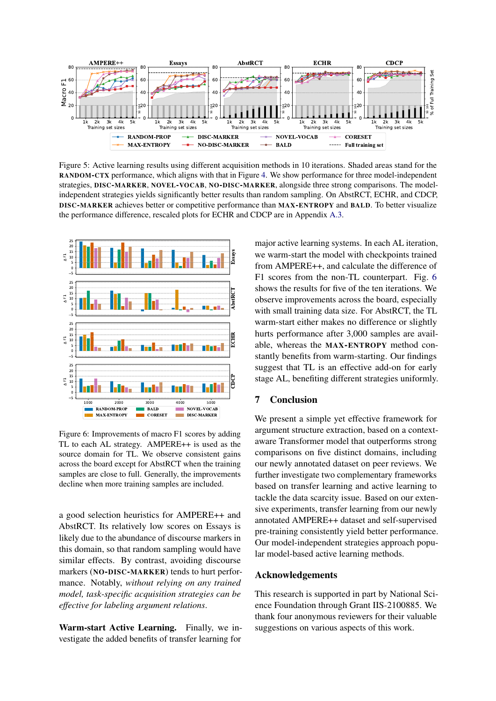<span id="page-8-0"></span>

Figure 5: Active learning results using different acquisition methods in 10 iterations. Shaded areas stand for the RANDOM-CTX performance, which aligns with that in Figure [4.](#page-7-2) We show performance for three model-independent strategies, DISC-MARKER, NOVEL-VOCAB, NO-DISC-MARKER, alongside three strong comparisons. The modelindependent strategies yields significantly better results than random sampling. On AbstRCT, ECHR, and CDCP, DISC-MARKER achieves better or competitive performance than MAX-ENTROPY and BALD. To better visualize the performance difference, rescaled plots for ECHR and CDCP are in Appendix [A.3.](#page-12-3)

<span id="page-8-1"></span>

Figure 6: Improvements of macro F1 scores by adding TL to each AL strategy. AMPERE++ is used as the source domain for TL. We observe consistent gains across the board except for AbstRCT when the training samples are close to full. Generally, the improvements decline when more training samples are included.

a good selection heuristics for AMPERE++ and AbstRCT. Its relatively low scores on Essays is likely due to the abundance of discourse markers in this domain, so that random sampling would have similar effects. By contrast, avoiding discourse markers (NO-DISC-MARKER) tends to hurt performance. Notably, *without relying on any trained model, task-specific acquisition strategies can be effective for labeling argument relations*.

Warm-start Active Learning. Finally, we investigate the added benefits of transfer learning for major active learning systems. In each AL iteration, we warm-start the model with checkpoints trained from AMPERE++, and calculate the difference of F1 scores from the non-TL counterpart. Fig. [6](#page-8-1) shows the results for five of the ten iterations. We observe improvements across the board, especially with small training data size. For AbstRCT, the TL warm-start either makes no difference or slightly hurts performance after 3,000 samples are available, whereas the MAX-ENTROPY method constantly benefits from warm-starting. Our findings suggest that TL is an effective add-on for early stage AL, benefiting different strategies uniformly.

# 7 Conclusion

We present a simple yet effective framework for argument structure extraction, based on a contextaware Transformer model that outperforms strong comparisons on five distinct domains, including our newly annotated dataset on peer reviews. We further investigate two complementary frameworks based on transfer learning and active learning to tackle the data scarcity issue. Based on our extensive experiments, transfer learning from our newly annotated AMPERE++ dataset and self-supervised pre-training consistently yield better performance. Our model-independent strategies approach popular model-based active learning methods.

#### Acknowledgements

This research is supported in part by National Science Foundation through Grant IIS-2100885. We thank four anonymous reviewers for their valuable suggestions on various aspects of this work.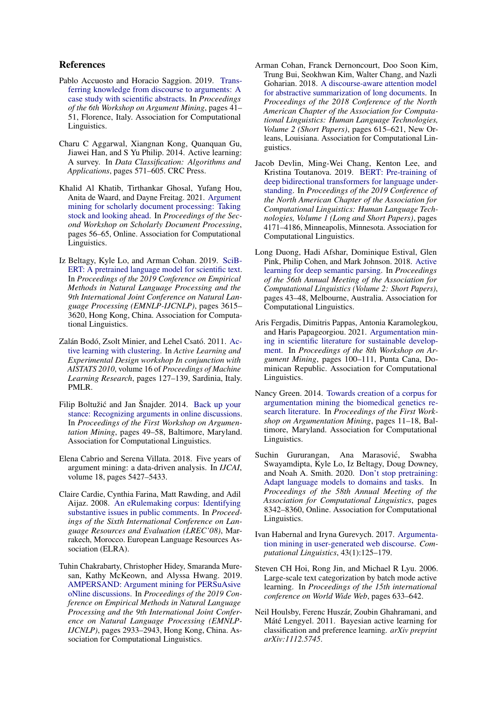### References

- <span id="page-9-9"></span>Pablo Accuosto and Horacio Saggion. 2019. [Trans](https://doi.org/10.18653/v1/W19-4505)[ferring knowledge from discourse to arguments: A](https://doi.org/10.18653/v1/W19-4505) [case study with scientific abstracts.](https://doi.org/10.18653/v1/W19-4505) In *Proceedings of the 6th Workshop on Argument Mining*, pages 41– 51, Florence, Italy. Association for Computational Linguistics.
- <span id="page-9-14"></span>Charu C Aggarwal, Xiangnan Kong, Quanquan Gu, Jiawei Han, and S Yu Philip. 2014. Active learning: A survey. In *Data Classification: Algorithms and Applications*, pages 571–605. CRC Press.
- <span id="page-9-2"></span>Khalid Al Khatib, Tirthankar Ghosal, Yufang Hou, Anita de Waard, and Dayne Freitag. 2021. [Argument](https://doi.org/10.18653/v1/2021.sdp-1.7) [mining for scholarly document processing: Taking](https://doi.org/10.18653/v1/2021.sdp-1.7) [stock and looking ahead.](https://doi.org/10.18653/v1/2021.sdp-1.7) In *Proceedings of the Second Workshop on Scholarly Document Processing*, pages 56–65, Online. Association for Computational Linguistics.
- <span id="page-9-17"></span>Iz Beltagy, Kyle Lo, and Arman Cohan. 2019. [SciB-](https://doi.org/10.18653/v1/D19-1371)[ERT: A pretrained language model for scientific text.](https://doi.org/10.18653/v1/D19-1371) In *Proceedings of the 2019 Conference on Empirical Methods in Natural Language Processing and the 9th International Joint Conference on Natural Language Processing (EMNLP-IJCNLP)*, pages 3615– 3620, Hong Kong, China. Association for Computational Linguistics.
- <span id="page-9-15"></span>Zalán Bodó, Zsolt Minier, and Lehel Csató. 2011. [Ac](https://proceedings.mlr.press/v16/bodo11a.html)[tive learning with clustering.](https://proceedings.mlr.press/v16/bodo11a.html) In *Active Learning and Experimental Design workshop In conjunction with AISTATS 2010*, volume 16 of *Proceedings of Machine Learning Research*, pages 127–139, Sardinia, Italy. PMLR.
- <span id="page-9-4"></span>Filip Boltužić and Jan Šnajder. 2014. [Back up your](https://doi.org/10.3115/v1/W14-2107) [stance: Recognizing arguments in online discussions.](https://doi.org/10.3115/v1/W14-2107) In *Proceedings of the First Workshop on Argumentation Mining*, pages 49–58, Baltimore, Maryland. Association for Computational Linguistics.
- <span id="page-9-0"></span>Elena Cabrio and Serena Villata. 2018. Five years of argument mining: a data-driven analysis. In *IJCAI*, volume 18, pages 5427–5433.
- <span id="page-9-3"></span>Claire Cardie, Cynthia Farina, Matt Rawding, and Adil Aijaz. 2008. [An eRulemaking corpus: Identifying](http://www.lrec-conf.org/proceedings/lrec2008/pdf/699_paper.pdf) [substantive issues in public comments.](http://www.lrec-conf.org/proceedings/lrec2008/pdf/699_paper.pdf) In *Proceedings of the Sixth International Conference on Language Resources and Evaluation (LREC'08)*, Marrakech, Morocco. European Language Resources Association (ELRA).
- <span id="page-9-8"></span>Tuhin Chakrabarty, Christopher Hidey, Smaranda Muresan, Kathy McKeown, and Alyssa Hwang. 2019. [AMPERSAND: Argument mining for PERSuAsive](https://doi.org/10.18653/v1/D19-1291) [oNline discussions.](https://doi.org/10.18653/v1/D19-1291) In *Proceedings of the 2019 Conference on Empirical Methods in Natural Language Processing and the 9th International Joint Conference on Natural Language Processing (EMNLP-IJCNLP)*, pages 2933–2943, Hong Kong, China. Association for Computational Linguistics.
- <span id="page-9-16"></span>Arman Cohan, Franck Dernoncourt, Doo Soon Kim, Trung Bui, Seokhwan Kim, Walter Chang, and Nazli Goharian. 2018. [A discourse-aware attention model](https://doi.org/10.18653/v1/N18-2097) [for abstractive summarization of long documents.](https://doi.org/10.18653/v1/N18-2097) In *Proceedings of the 2018 Conference of the North American Chapter of the Association for Computational Linguistics: Human Language Technologies, Volume 2 (Short Papers)*, pages 615–621, New Orleans, Louisiana. Association for Computational Linguistics.
- <span id="page-9-10"></span>Jacob Devlin, Ming-Wei Chang, Kenton Lee, and Kristina Toutanova. 2019. [BERT: Pre-training of](https://doi.org/10.18653/v1/N19-1423) [deep bidirectional transformers for language under](https://doi.org/10.18653/v1/N19-1423)[standing.](https://doi.org/10.18653/v1/N19-1423) In *Proceedings of the 2019 Conference of the North American Chapter of the Association for Computational Linguistics: Human Language Technologies, Volume 1 (Long and Short Papers)*, pages 4171–4186, Minneapolis, Minnesota. Association for Computational Linguistics.
- <span id="page-9-13"></span>Long Duong, Hadi Afshar, Dominique Estival, Glen Pink, Philip Cohen, and Mark Johnson. 2018. [Active](https://doi.org/10.18653/v1/P18-2008) [learning for deep semantic parsing.](https://doi.org/10.18653/v1/P18-2008) In *Proceedings of the 56th Annual Meeting of the Association for Computational Linguistics (Volume 2: Short Papers)*, pages 43–48, Melbourne, Australia. Association for Computational Linguistics.
- <span id="page-9-1"></span>Aris Fergadis, Dimitris Pappas, Antonia Karamolegkou, and Haris Papageorgiou. 2021. [Argumentation min](https://doi.org/10.18653/v1/2021.argmining-1.10)[ing in scientific literature for sustainable develop](https://doi.org/10.18653/v1/2021.argmining-1.10)[ment.](https://doi.org/10.18653/v1/2021.argmining-1.10) In *Proceedings of the 8th Workshop on Argument Mining*, pages 100–111, Punta Cana, Dominican Republic. Association for Computational Linguistics.
- <span id="page-9-6"></span>Nancy Green. 2014. [Towards creation of a corpus for](https://doi.org/10.3115/v1/W14-2102) [argumentation mining the biomedical genetics re](https://doi.org/10.3115/v1/W14-2102)[search literature.](https://doi.org/10.3115/v1/W14-2102) In *Proceedings of the First Workshop on Argumentation Mining*, pages 11–18, Baltimore, Maryland. Association for Computational Linguistics.
- <span id="page-9-11"></span>Suchin Gururangan, Ana Marasović, Swabha Swayamdipta, Kyle Lo, Iz Beltagy, Doug Downey, and Noah A. Smith. 2020. [Don't stop pretraining:](https://doi.org/10.18653/v1/2020.acl-main.740) [Adapt language models to domains and tasks.](https://doi.org/10.18653/v1/2020.acl-main.740) In *Proceedings of the 58th Annual Meeting of the Association for Computational Linguistics*, pages 8342–8360, Online. Association for Computational Linguistics.
- <span id="page-9-5"></span>Ivan Habernal and Iryna Gurevych. 2017. [Argumenta](https://doi.org/10.1162/COLI_a_00276)[tion mining in user-generated web discourse.](https://doi.org/10.1162/COLI_a_00276) *Computational Linguistics*, 43(1):125–179.
- <span id="page-9-12"></span>Steven CH Hoi, Rong Jin, and Michael R Lyu. 2006. Large-scale text categorization by batch mode active learning. In *Proceedings of the 15th international conference on World Wide Web*, pages 633–642.
- <span id="page-9-7"></span>Neil Houlsby, Ferenc Huszár, Zoubin Ghahramani, and Máté Lengyel. 2011. Bayesian active learning for classification and preference learning. *arXiv preprint arXiv:1112.5745*.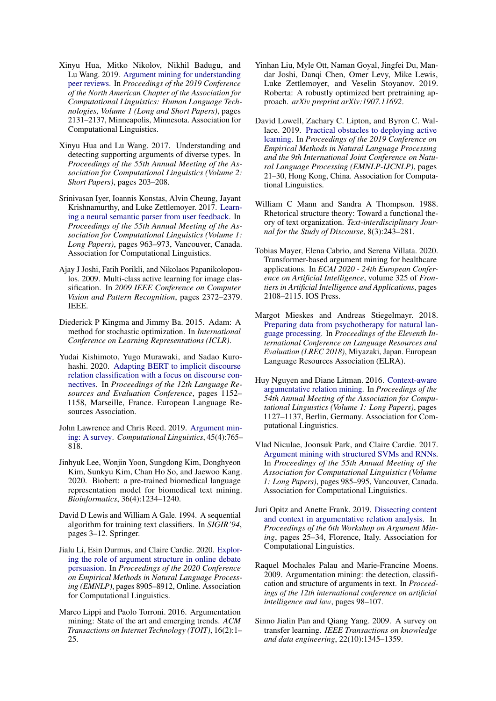- <span id="page-10-12"></span>Xinyu Hua, Mitko Nikolov, Nikhil Badugu, and Lu Wang. 2019. [Argument mining for understanding](https://doi.org/10.18653/v1/N19-1219) [peer reviews.](https://doi.org/10.18653/v1/N19-1219) In *Proceedings of the 2019 Conference of the North American Chapter of the Association for Computational Linguistics: Human Language Technologies, Volume 1 (Long and Short Papers)*, pages 2131–2137, Minneapolis, Minnesota. Association for Computational Linguistics.
- <span id="page-10-5"></span>Xinyu Hua and Lu Wang. 2017. Understanding and detecting supporting arguments of diverse types. In *Proceedings of the 55th Annual Meeting of the Association for Computational Linguistics (Volume 2: Short Papers)*, pages 203–208.
- <span id="page-10-17"></span>Srinivasan Iyer, Ioannis Konstas, Alvin Cheung, Jayant Krishnamurthy, and Luke Zettlemoyer. 2017. [Learn](https://doi.org/10.18653/v1/P17-1089)[ing a neural semantic parser from user feedback.](https://doi.org/10.18653/v1/P17-1089) In *Proceedings of the 55th Annual Meeting of the Association for Computational Linguistics (Volume 1: Long Papers)*, pages 963–973, Vancouver, Canada. Association for Computational Linguistics.
- <span id="page-10-18"></span>Ajay J Joshi, Fatih Porikli, and Nikolaos Papanikolopoulos. 2009. Multi-class active learning for image classification. In *2009 IEEE Conference on Computer Vision and Pattern Recognition*, pages 2372–2379. IEEE.
- <span id="page-10-19"></span>Diederick P Kingma and Jimmy Ba. 2015. Adam: A method for stochastic optimization. In *International Conference on Learning Representations (ICLR)*.
- <span id="page-10-16"></span>Yudai Kishimoto, Yugo Murawaki, and Sadao Kurohashi. 2020. [Adapting BERT to implicit discourse](https://www.aclweb.org/anthology/2020.lrec-1.145) [relation classification with a focus on discourse con](https://www.aclweb.org/anthology/2020.lrec-1.145)[nectives.](https://www.aclweb.org/anthology/2020.lrec-1.145) In *Proceedings of the 12th Language Resources and Evaluation Conference*, pages 1152– 1158, Marseille, France. European Language Resources Association.
- <span id="page-10-0"></span>John Lawrence and Chris Reed. 2019. [Argument min](https://doi.org/10.1162/coli_a_00364)[ing: A survey.](https://doi.org/10.1162/coli_a_00364) *Computational Linguistics*, 45(4):765– 818.
- <span id="page-10-20"></span>Jinhyuk Lee, Wonjin Yoon, Sungdong Kim, Donghyeon Kim, Sunkyu Kim, Chan Ho So, and Jaewoo Kang. 2020. Biobert: a pre-trained biomedical language representation model for biomedical text mining. *Bioinformatics*, 36(4):1234–1240.
- <span id="page-10-11"></span>David D Lewis and William A Gale. 1994. A sequential algorithm for training text classifiers. In *SIGIR'94*, pages 3–12. Springer.
- <span id="page-10-1"></span>Jialu Li, Esin Durmus, and Claire Cardie. 2020. [Explor](https://doi.org/10.18653/v1/2020.emnlp-main.716)[ing the role of argument structure in online debate](https://doi.org/10.18653/v1/2020.emnlp-main.716) [persuasion.](https://doi.org/10.18653/v1/2020.emnlp-main.716) In *Proceedings of the 2020 Conference on Empirical Methods in Natural Language Processing (EMNLP)*, pages 8905–8912, Online. Association for Computational Linguistics.
- <span id="page-10-3"></span>Marco Lippi and Paolo Torroni. 2016. Argumentation mining: State of the art and emerging trends. *ACM Transactions on Internet Technology (TOIT)*, 16(2):1– 25.
- <span id="page-10-9"></span>Yinhan Liu, Myle Ott, Naman Goyal, Jingfei Du, Mandar Joshi, Danqi Chen, Omer Levy, Mike Lewis, Luke Zettlemoyer, and Veselin Stoyanov. 2019. Roberta: A robustly optimized bert pretraining approach. *arXiv preprint arXiv:1907.11692*.
- <span id="page-10-10"></span>David Lowell, Zachary C. Lipton, and Byron C. Wallace. 2019. [Practical obstacles to deploying active](https://doi.org/10.18653/v1/D19-1003) [learning.](https://doi.org/10.18653/v1/D19-1003) In *Proceedings of the 2019 Conference on Empirical Methods in Natural Language Processing and the 9th International Joint Conference on Natural Language Processing (EMNLP-IJCNLP)*, pages 21–30, Hong Kong, China. Association for Computational Linguistics.
- <span id="page-10-13"></span>William C Mann and Sandra A Thompson. 1988. Rhetorical structure theory: Toward a functional theory of text organization. *Text-interdisciplinary Journal for the Study of Discourse*, 8(3):243–281.
- <span id="page-10-4"></span>Tobias Mayer, Elena Cabrio, and Serena Villata. 2020. Transformer-based argument mining for healthcare applications. In *ECAI 2020 - 24th European Conference on Artificial Intelligence*, volume 325 of *Frontiers in Artificial Intelligence and Applications*, pages 2108–2115. IOS Press.
- <span id="page-10-14"></span>Margot Mieskes and Andreas Stiegelmayr. 2018. [Preparing data from psychotherapy for natural lan](https://aclanthology.org/L18-1458)[guage processing.](https://aclanthology.org/L18-1458) In *Proceedings of the Eleventh International Conference on Language Resources and Evaluation (LREC 2018)*, Miyazaki, Japan. European Language Resources Association (ELRA).
- <span id="page-10-6"></span>Huy Nguyen and Diane Litman. 2016. [Context-aware](https://doi.org/10.18653/v1/P16-1107) [argumentative relation mining.](https://doi.org/10.18653/v1/P16-1107) In *Proceedings of the 54th Annual Meeting of the Association for Computational Linguistics (Volume 1: Long Papers)*, pages 1127–1137, Berlin, Germany. Association for Computational Linguistics.
- <span id="page-10-8"></span>Vlad Niculae, Joonsuk Park, and Claire Cardie. 2017. [Argument mining with structured SVMs and RNNs.](https://doi.org/10.18653/v1/P17-1091) In *Proceedings of the 55th Annual Meeting of the Association for Computational Linguistics (Volume 1: Long Papers)*, pages 985–995, Vancouver, Canada. Association for Computational Linguistics.
- <span id="page-10-7"></span>Juri Opitz and Anette Frank. 2019. [Dissecting content](https://doi.org/10.18653/v1/W19-4503) [and context in argumentative relation analysis.](https://doi.org/10.18653/v1/W19-4503) In *Proceedings of the 6th Workshop on Argument Mining*, pages 25–34, Florence, Italy. Association for Computational Linguistics.
- <span id="page-10-2"></span>Raquel Mochales Palau and Marie-Francine Moens. 2009. Argumentation mining: the detection, classification and structure of arguments in text. In *Proceedings of the 12th international conference on artificial intelligence and law*, pages 98–107.
- <span id="page-10-15"></span>Sinno Jialin Pan and Qiang Yang. 2009. A survey on transfer learning. *IEEE Transactions on knowledge and data engineering*, 22(10):1345–1359.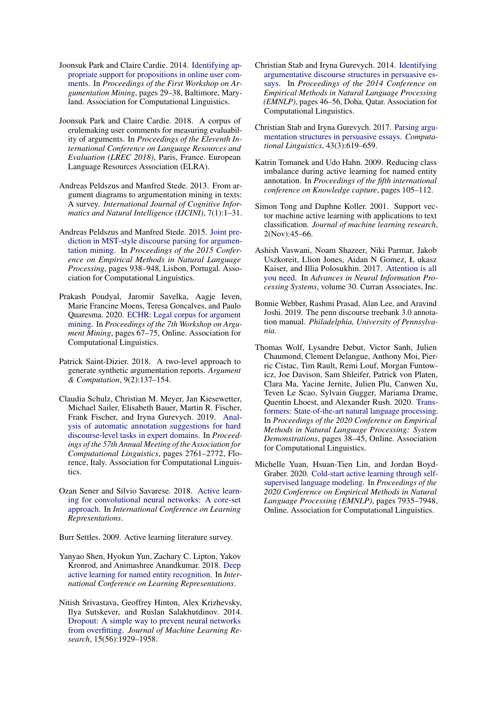- <span id="page-11-2"></span>Joonsuk Park and Claire Cardie. 2014. [Identifying ap](https://doi.org/10.3115/v1/W14-2105)[propriate support for propositions in online user com](https://doi.org/10.3115/v1/W14-2105)[ments.](https://doi.org/10.3115/v1/W14-2105) In *Proceedings of the First Workshop on Argumentation Mining*, pages 29–38, Baltimore, Maryland. Association for Computational Linguistics.
- <span id="page-11-8"></span>Joonsuk Park and Claire Cardie. 2018. A corpus of erulemaking user comments for measuring evaluability of arguments. In *Proceedings of the Eleventh International Conference on Language Resources and Evaluation (LREC 2018)*, Paris, France. European Language Resources Association (ELRA).
- <span id="page-11-0"></span>Andreas Peldszus and Manfred Stede. 2013. From argument diagrams to argumentation mining in texts: A survey. *International Journal of Cognitive Informatics and Natural Intelligence (IJCINI)*, 7(1):1–31.
- <span id="page-11-9"></span>Andreas Peldszus and Manfred Stede. 2015. [Joint pre](https://doi.org/10.18653/v1/D15-1110)[diction in MST-style discourse parsing for argumen](https://doi.org/10.18653/v1/D15-1110)[tation mining.](https://doi.org/10.18653/v1/D15-1110) In *Proceedings of the 2015 Conference on Empirical Methods in Natural Language Processing*, pages 938–948, Lisbon, Portugal. Association for Computational Linguistics.
- <span id="page-11-1"></span>Prakash Poudyal, Jaromir Savelka, Aagje Ieven, Marie Francine Moens, Teresa Goncalves, and Paulo Quaresma. 2020. [ECHR: Legal corpus for argument](https://www.aclweb.org/anthology/2020.argmining-1.8) [mining.](https://www.aclweb.org/anthology/2020.argmining-1.8) In *Proceedings of the 7th Workshop on Argument Mining*, pages 67–75, Online. Association for Computational Linguistics.
- <span id="page-11-5"></span>Patrick Saint-Dizier. 2018. A two-level approach to generate synthetic argumentation reports. *Argument & Computation*, 9(2):137–154.
- <span id="page-11-12"></span>Claudia Schulz, Christian M. Meyer, Jan Kiesewetter, Michael Sailer, Elisabeth Bauer, Martin R. Fischer, Frank Fischer, and Iryna Gurevych. 2019. [Anal](https://doi.org/10.18653/v1/P19-1265)[ysis of automatic annotation suggestions for hard](https://doi.org/10.18653/v1/P19-1265) [discourse-level tasks in expert domains.](https://doi.org/10.18653/v1/P19-1265) In *Proceedings of the 57th Annual Meeting of the Association for Computational Linguistics*, pages 2761–2772, Florence, Italy. Association for Computational Linguistics.
- <span id="page-11-7"></span>Ozan Sener and Silvio Savarese. 2018. [Active learn](https://openreview.net/forum?id=H1aIuk-RW)[ing for convolutional neural networks: A core-set](https://openreview.net/forum?id=H1aIuk-RW) [approach.](https://openreview.net/forum?id=H1aIuk-RW) In *International Conference on Learning Representations*.

<span id="page-11-6"></span>Burr Settles. 2009. Active learning literature survey.

- <span id="page-11-14"></span>Yanyao Shen, Hyokun Yun, Zachary C. Lipton, Yakov Kronrod, and Animashree Anandkumar. 2018. [Deep](https://openreview.net/forum?id=ry018WZAZ) [active learning for named entity recognition.](https://openreview.net/forum?id=ry018WZAZ) In *International Conference on Learning Representations*.
- <span id="page-11-17"></span>Nitish Srivastava, Geoffrey Hinton, Alex Krizhevsky, Ilya Sutskever, and Ruslan Salakhutdinov. 2014. [Dropout: A simple way to prevent neural networks](http://jmlr.org/papers/v15/srivastava14a.html) [from overfitting.](http://jmlr.org/papers/v15/srivastava14a.html) *Journal of Machine Learning Research*, 15(56):1929–1958.
- <span id="page-11-11"></span>Christian Stab and Iryna Gurevych. 2014. [Identifying](https://doi.org/10.3115/v1/D14-1006) [argumentative discourse structures in persuasive es](https://doi.org/10.3115/v1/D14-1006)[says.](https://doi.org/10.3115/v1/D14-1006) In *Proceedings of the 2014 Conference on Empirical Methods in Natural Language Processing (EMNLP)*, pages 46–56, Doha, Qatar. Association for Computational Linguistics.
- <span id="page-11-3"></span>Christian Stab and Iryna Gurevych. 2017. [Parsing argu](https://doi.org/10.1162/COLI_a_00295)[mentation structures in persuasive essays.](https://doi.org/10.1162/COLI_a_00295) *Computational Linguistics*, 43(3):619–659.
- <span id="page-11-13"></span>Katrin Tomanek and Udo Hahn. 2009. Reducing class imbalance during active learning for named entity annotation. In *Proceedings of the fifth international conference on Knowledge capture*, pages 105–112.
- <span id="page-11-15"></span>Simon Tong and Daphne Koller. 2001. Support vector machine active learning with applications to text classification. *Journal of machine learning research*, 2(Nov):45–66.
- <span id="page-11-4"></span>Ashish Vaswani, Noam Shazeer, Niki Parmar, Jakob Uszkoreit, Llion Jones, Aidan N Gomez, Ł ukasz Kaiser, and Illia Polosukhin. 2017. [Attention is all](https://proceedings.neurips.cc/paper/2017/file/3f5ee243547dee91fbd053c1c4a845aa-Paper.pdf) [you need.](https://proceedings.neurips.cc/paper/2017/file/3f5ee243547dee91fbd053c1c4a845aa-Paper.pdf) In *Advances in Neural Information Processing Systems*, volume 30. Curran Associates, Inc.
- <span id="page-11-10"></span>Bonnie Webber, Rashmi Prasad, Alan Lee, and Aravind Joshi. 2019. The penn discourse treebank 3.0 annotation manual. *Philadelphia, University of Pennsylvania*.
- <span id="page-11-18"></span>Thomas Wolf, Lysandre Debut, Victor Sanh, Julien Chaumond, Clement Delangue, Anthony Moi, Pierric Cistac, Tim Rault, Remi Louf, Morgan Funtowicz, Joe Davison, Sam Shleifer, Patrick von Platen, Clara Ma, Yacine Jernite, Julien Plu, Canwen Xu, Teven Le Scao, Sylvain Gugger, Mariama Drame, Quentin Lhoest, and Alexander Rush. 2020. [Trans](https://doi.org/10.18653/v1/2020.emnlp-demos.6)[formers: State-of-the-art natural language processing.](https://doi.org/10.18653/v1/2020.emnlp-demos.6) In *Proceedings of the 2020 Conference on Empirical Methods in Natural Language Processing: System Demonstrations*, pages 38–45, Online. Association for Computational Linguistics.
- <span id="page-11-16"></span>Michelle Yuan, Hsuan-Tien Lin, and Jordan Boyd-Graber. 2020. [Cold-start active learning through self](https://doi.org/10.18653/v1/2020.emnlp-main.637)[supervised language modeling.](https://doi.org/10.18653/v1/2020.emnlp-main.637) In *Proceedings of the 2020 Conference on Empirical Methods in Natural Language Processing (EMNLP)*, pages 7935–7948, Online. Association for Computational Linguistics.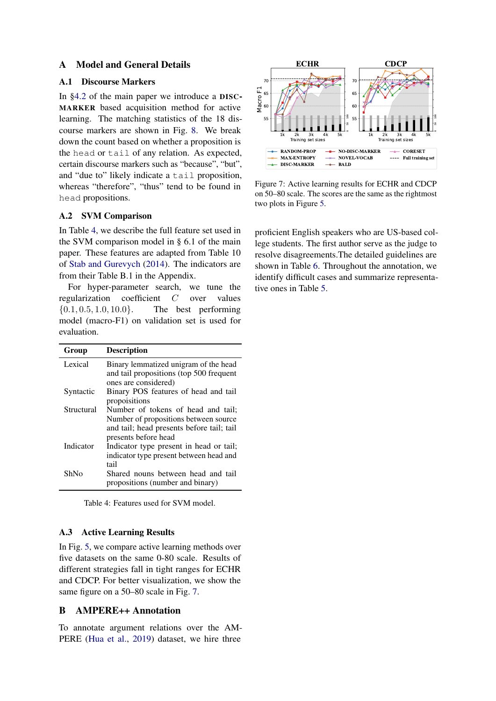# A Model and General Details

# <span id="page-12-0"></span>A.1 Discourse Markers

In [§4.2](#page-3-3) of the main paper we introduce a DISC-MARKER based acquisition method for active learning. The matching statistics of the 18 discourse markers are shown in Fig. [8.](#page-13-0) We break down the count based on whether a proposition is the head or tail of any relation. As expected, certain discourse markers such as "because", "but", and "due to" likely indicate a tail proposition, whereas "therefore", "thus" tend to be found in head propositions.

# <span id="page-12-2"></span>A.2 SVM Comparison

In Table [4,](#page-12-4) we describe the full feature set used in the SVM comparison model in § 6.1 of the main paper. These features are adapted from Table 10 of [Stab and Gurevych](#page-11-11) [\(2014\)](#page-11-11). The indicators are from their Table B.1 in the Appendix.

For hyper-parameter search, we tune the regularization coefficient C over values  ${0.1, 0.5, 1.0, 10.0}$ . The best performing model (macro-F1) on validation set is used for evaluation.

<span id="page-12-4"></span>

| Group       | <b>Description</b>                                                                                                                                |
|-------------|---------------------------------------------------------------------------------------------------------------------------------------------------|
| Lexical     | Binary lemmatized unigram of the head<br>and tail propositions (top 500 frequent<br>ones are considered)                                          |
| Syntactic   | Binary POS features of head and tail<br>propoisitions                                                                                             |
| Structural  | Number of tokens of head and tail;<br>Number of propositions between source.<br>and tail; head presents before tail; tail<br>presents before head |
| Indicator   | Indicator type present in head or tail;<br>indicator type present between head and<br>tail                                                        |
| <b>ShNo</b> | Shared nouns between head and tail<br>propositions (number and binary)                                                                            |

Table 4: Features used for SVM model.

### <span id="page-12-3"></span>A.3 Active Learning Results

In Fig. [5,](#page-8-0) we compare active learning methods over five datasets on the same 0-80 scale. Results of different strategies fall in tight ranges for ECHR and CDCP. For better visualization, we show the same figure on a 50–80 scale in Fig. [7.](#page-12-5)

# <span id="page-12-1"></span>B AMPERE++ Annotation

To annotate argument relations over the AM-PERE [\(Hua et al.,](#page-10-12) [2019\)](#page-10-12) dataset, we hire three

<span id="page-12-5"></span>

Figure 7: Active learning results for ECHR and CDCP on 50–80 scale. The scores are the same as the rightmost two plots in Figure [5.](#page-8-0)

proficient English speakers who are US-based college students. The first author serve as the judge to resolve disagreements.The detailed guidelines are shown in Table [6.](#page-14-0) Throughout the annotation, we identify difficult cases and summarize representative ones in Table [5.](#page-13-1)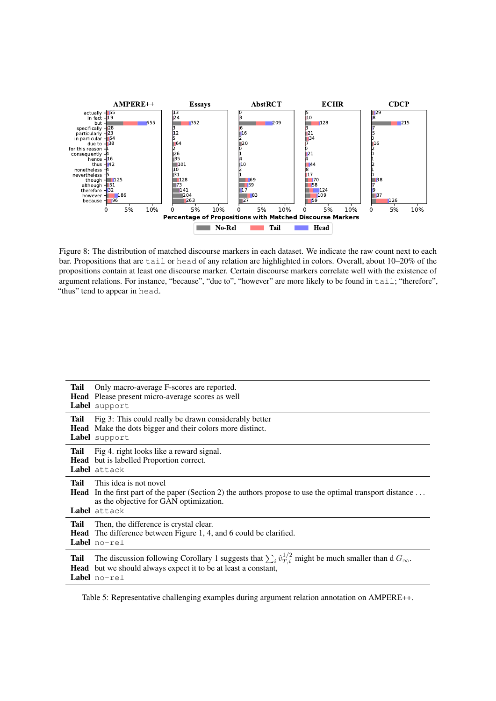<span id="page-13-0"></span>

Figure 8: The distribution of matched discourse markers in each dataset. We indicate the raw count next to each bar. Propositions that are tail or head of any relation are highlighted in colors. Overall, about 10–20% of the propositions contain at least one discourse marker. Certain discourse markers correlate well with the existence of argument relations. For instance, "because", "due to", "however" are more likely to be found in tail; "therefore", "thus" tend to appear in head.

<span id="page-13-1"></span>

| Tail         | Only macro-average F-scores are reported.<br>Head Please present micro-average scores as well<br>Label support                                                                                                    |
|--------------|-------------------------------------------------------------------------------------------------------------------------------------------------------------------------------------------------------------------|
| <b>Tail</b>  | Fig 3: This could really be drawn considerably better<br><b>Head</b> Make the dots bigger and their colors more distinct.<br>Label support                                                                        |
| Tail         | Fig 4. right looks like a reward signal.<br><b>Head</b> but is labelled Proportion correct.<br>Label attack                                                                                                       |
| Tail         | This idea is not novel<br><b>Head</b> In the first part of the paper (Section 2) the authors propose to use the optimal transport distance<br>as the objective for GAN optimization.<br>Label attack              |
| Tail         | Then, the difference is crystal clear.<br><b>Head</b> The difference between Figure 1, 4, and 6 could be clarified.<br><b>Label</b> $no-rel$                                                                      |
| Tail<br>Head | The discussion following Corollary 1 suggests that $\sum_i \hat{v}_{T,i}^{1/2}$ might be much smaller than d $G_{\infty}$ .<br>but we should always expect it to be at least a constant,<br><b>Label</b> $no-rel$ |

Table 5: Representative challenging examples during argument relation annotation on AMPERE++.